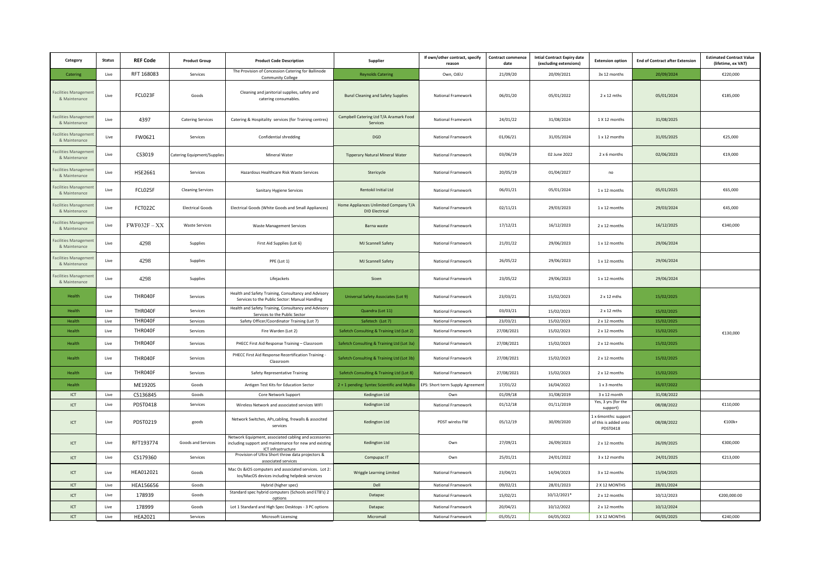| Category                              | <b>Status</b> | <b>REF Code</b> | <b>Product Group</b>        | <b>Product Code Description</b>                                                                                                       | Supplier                                                       | If own/other contract, specify<br>reason | <b>Contract commence</b><br>date | <b>Intial Contract Expiry date</b><br>(excluding extensions) | <b>Extension option</b>                                  | <b>End of Contract after Extension</b> | <b>Estimated Contract Value</b><br>(lifetime, ex VAT) |
|---------------------------------------|---------------|-----------------|-----------------------------|---------------------------------------------------------------------------------------------------------------------------------------|----------------------------------------------------------------|------------------------------------------|----------------------------------|--------------------------------------------------------------|----------------------------------------------------------|----------------------------------------|-------------------------------------------------------|
| Catering                              | Live          | RFT 168083      | Services                    | The Provision of Concession Catering for Ballinode<br><b>Community College</b>                                                        | <b>Reynolds Catering</b>                                       | Own, OJEU                                | 21/09/20                         | 20/09/2021                                                   | 3x 12 months                                             | 20/09/2024                             | €220,000                                              |
| acilities Managemer<br>& Maintenance  | Live          | FCL023F         | Goods                       | Cleaning and janitorial supplies, safety and<br>catering consumables.                                                                 | <b>Bunzl Cleaning and Safety Supplies</b>                      | National Framework                       | 06/01/20                         | 05/01/2022                                                   | 2 x 12 mths                                              | 05/01/2024                             | €185,000                                              |
| acilities Managemen<br>& Maintenance  | Live          | 4397            | <b>Catering Services</b>    | Catering & Hospitality services (for Training centres)                                                                                | Campbell Catering Ltd T/A Aramark Food<br>Services             | National Framework                       | 24/01/22                         | 31/08/2024                                                   | 1 X 12 months                                            | 31/08/2025                             |                                                       |
| acilities Managemen<br>& Maintenance  | Live          | FW0621          | Services                    | Confidential shredding                                                                                                                | DGD                                                            | National Framework                       | 01/06/21                         | 31/05/2024                                                   | 1 x 12 months                                            | 31/05/2025                             | €25,000                                               |
| acilities Management<br>& Maintenance | Live          | CS3019          | Catering Equipment/Supplies | Mineral Water                                                                                                                         | <b>Tipperary Natural Mineral Water</b>                         | National Framework                       | 03/06/19                         | 02 June 2022                                                 | 2 x 6 months                                             | 02/06/2023                             | €19,000                                               |
| acilities Managemen<br>& Maintenance  | Live          | HSE2661         | Services                    | Hazardous Healthcare Risk Waste Services                                                                                              | Stericycle                                                     | National Framework                       | 20/05/19                         | 01/04/2027                                                   | no                                                       |                                        |                                                       |
| acilities Managemen<br>& Maintenance  | Live          | FCL025F         | <b>Cleaning Services</b>    | Sanitary Hygiene Services                                                                                                             | Rentokil Initial Ltd                                           | National Framework                       | 06/01/21                         | 05/01/2024                                                   | 1 x 12 months                                            | 05/01/2025                             | €65,000                                               |
| acilities Managemen<br>& Maintenance  | Live          | FCT022C         | <b>Electrical Goods</b>     | Electrical Goods (White Goods and Small Appliances)                                                                                   | Home Appliances Unlimited Company T/A<br><b>DID Electrical</b> | National Framework                       | 02/11/21                         | 29/03/2023                                                   | 1 x 12 months                                            | 29/03/2024                             | €45,000                                               |
| acilities Managemer<br>& Maintenance  | Live          | $FWF032F - XX$  | <b>Waste Services</b>       | <b>Waste Management Services</b>                                                                                                      | Barna waste                                                    | National Framework                       | 17/12/21                         | 16/12/2023                                                   | 2 x 12 months                                            | 16/12/2025                             | €340,000                                              |
| acilities Managemen<br>& Maintenance  | Live          | 4298            | Supplies                    | First Aid Supplies (Lot 6)                                                                                                            | MJ Scannell Safety                                             | National Framework                       | 21/01/22                         | 29/06/2023                                                   | 1 x 12 months                                            | 29/06/2024                             |                                                       |
| acilities Managemen<br>& Maintenance  | Live          | 4298            | Supplies                    | PPE (Lot 1)                                                                                                                           | MJ Scannell Safety                                             | National Framework                       | 26/05/22                         | 29/06/2023                                                   | 1 x 12 months                                            | 29/06/2024                             |                                                       |
| acilities Managemen<br>& Maintenance  | Live          | 4298            | Supplies                    | Lifejackets                                                                                                                           | Sioen                                                          | National Framework                       | 23/05/22                         | 29/06/2023                                                   | 1 x 12 months                                            | 29/06/2024                             |                                                       |
| Health                                | Live          | THR040F         | Services                    | Health and Safety Training, Consultancy and Advisory<br>Services to the Public Sector: Manual Handling                                | Universal Safety Associates (Lot 9)                            | National Framework                       | 23/03/21                         | 15/02/2023                                                   | 2 x 12 mths                                              | 15/02/2025                             |                                                       |
| Health                                | Live          | THR040F         | Services                    | Health and Safety Training, Consultancy and Advisory<br>Services to the Public Sector                                                 | Quandra (Lot 11)                                               | National Framework                       | 03/03/21                         | 15/02/2023                                                   | 2 x 12 mths                                              | 15/02/2025                             |                                                       |
| Health                                | Live          | THR040F         | Services                    | Safety Officer/Coordinator Training (Lot 7)                                                                                           | Safetech (Lot 7)                                               | National Framework                       | 23/03/21                         | 15/02/2023                                                   | 2 x 12 months                                            | 15/02/2025                             |                                                       |
| Health                                | Live          | THR040F         | Services                    | Fire Warden (Lot 2)                                                                                                                   | Safetch Consulting & Training Ltd (Lot 2)                      | National Framework                       | 27/08/2021                       | 15/02/2023                                                   | 2 x 12 months                                            | 15/02/2025                             | €130,000                                              |
| Health                                | Live          | THR040F         | Services                    | PHECC First Aid Response Training - Classroom                                                                                         | Safetch Consulting & Training Ltd (Lot 3a)                     | National Framework                       | 27/08/2021                       | 15/02/2023                                                   | 2 x 12 months                                            | 15/02/2025                             |                                                       |
| Health                                | Live          | THR040F         | Services                    | PHECC First Aid Response Recertification Training -<br>Classroom                                                                      | Safetch Consulting & Training Ltd (Lot 3b)                     | National Framework                       | 27/08/2021                       | 15/02/2023                                                   | 2 x 12 months                                            | 15/02/2025                             |                                                       |
| Health                                | Live          | THR040F         | Services                    | Safety Representative Training                                                                                                        | Safetch Consulting & Training Ltd (Lot 8)                      | National Framework                       | 27/08/2021                       | 15/02/2023                                                   | 2 x 12 months                                            | 15/02/2025                             |                                                       |
| Health                                |               | ME1920S         | Goods                       | Antigen Test Kits for Education Sector                                                                                                | 2 + 1 pending: Syntec Scientific and MyBio                     | EPS: Short term Supply Agreement         | 17/01/22                         | 16/04/2022                                                   | 1 x 3 months                                             | 16/07/2022                             |                                                       |
| ICT                                   | Live          | CS136845        | Goods                       | Core Network Support                                                                                                                  | Kedington Ltd                                                  | Own                                      | 01/09/18                         | 31/08/2019                                                   | 3 x 12 month                                             | 31/08/2022                             |                                                       |
| ICT                                   | Live          | PDST0418        | Services                    | Wireless Network and associated services WIFI                                                                                         | Kedington Ltd                                                  | National Framework                       | 01/12/18                         | 01/11/2019                                                   | Yes, 3 yrs (for the<br>support)                          | 08/08/2022                             | €110,000                                              |
| ICT                                   | Live          | PDST0219        | goods                       | Network Switches, APs, cabling, frewalls & associted<br>services                                                                      | Kedington Ltd                                                  | PDST wirelss FW                          | 05/12/19                         | 30/09/2020                                                   | 1 x 6months: suppor<br>of this is added onto<br>PDST0418 | 08/08/2022                             | €100k+                                                |
| ICT                                   | Live          | RFT193774       | Goods and Services          | Network Equipment, associated cabling and accessories<br>including support and maintenance for new and existing<br>ICT infrastructure | Kedington Ltd                                                  | Own                                      | 27/09/21                         | 26/09/2023                                                   | 2 x 12 months                                            | 26/09/2025                             | €300,000                                              |
| ICT                                   | Live          | CS179360        | Services                    | Provision of Ultra Short throw data projectors &<br>associated services                                                               | Compupac <sub>IT</sub>                                         | Own                                      | 25/01/21                         | 24/01/2022                                                   | 3 x 12 months                                            | 24/01/2025                             | €213,000                                              |
| ICT                                   | Live          | HEA012021       | Goods                       | Mac Os &iOS computers and associated services. Lot 2:<br>Ios/MacOS devices including helpdesk services                                | Wriggle Learning Limited                                       | National Framework                       | 23/04/21                         | 14/04/2023                                                   | 3 x 12 months                                            | 15/04/2025                             |                                                       |
| ICT                                   | Live          | HEA156656       | Goods                       | Hybrid (higher spec)                                                                                                                  | Dell                                                           | National Framework                       | 09/02/21                         | 28/01/2023                                                   | 2 X 12 MONTHS                                            | 28/01/2024                             |                                                       |
| ICT                                   | Live          | 178939          | Goods                       | Standard spec hybrid computers (Schools and ETB's) 2<br>options                                                                       | Datapac                                                        | National Framework                       | 15/02/21                         | 10/12/2021*                                                  | 2 x 12 months                                            | 10/12/2023                             | €200,000.00                                           |
| ICT                                   | Live          | 178999          | Goods                       | Lot 1 Standard and High Spec Desktops - 3 PC options                                                                                  | Datapac                                                        | National Framework                       | 20/04/21                         | 10/12/2022                                                   | 2 x 12 months                                            | 10/12/2024                             |                                                       |
| ICT                                   | Live          | <b>HEA2021</b>  | Services                    | Microsoft Licensing                                                                                                                   | Micromail                                                      | National Framework                       | 05/05/21                         | 04/05/2022                                                   | 3 X 12 MONTHS                                            | 04/05/2025                             | €240,000                                              |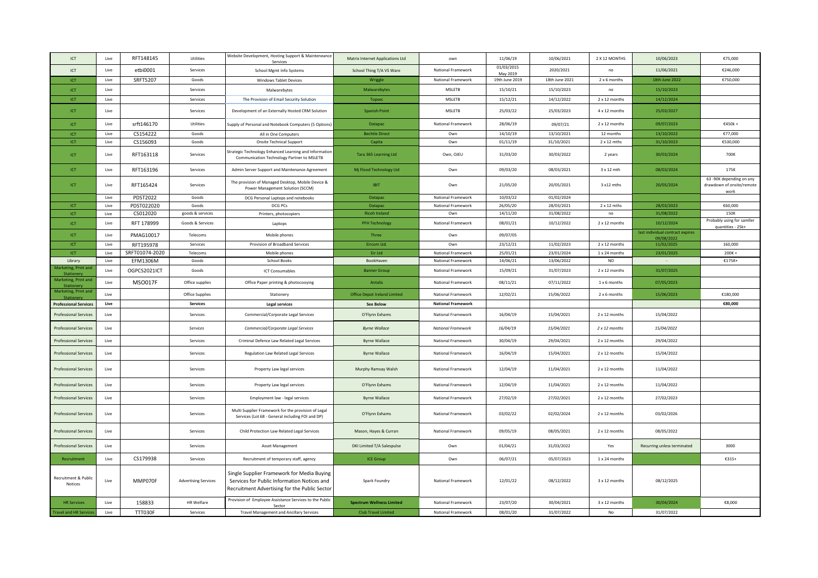| <b>ICT</b>                                 | Live | RFT148145      | Utilities                   | Website Development, Hosting Support & Mainteneance<br>Services                                                                            | <b>Matrix Internet Applications Ltd</b> | own                       | 11/06/19               | 10/06/2021     | 2 X 12 MONTHS      | 10/06/2023                                     | €75,000                                                       |
|--------------------------------------------|------|----------------|-----------------------------|--------------------------------------------------------------------------------------------------------------------------------------------|-----------------------------------------|---------------------------|------------------------|----------------|--------------------|------------------------------------------------|---------------------------------------------------------------|
| ICT                                        | Live | etbi0001       | Services                    | School Mgmt Info Systems                                                                                                                   | School Thing T/A VS Ware                | National Framework        | 01/03/2015<br>May 2019 | 2020/2021      | no                 | 11/06/2021                                     | €246,000                                                      |
| ICT                                        | Live | SRFT5207       | Goods                       | <b>Windows Tablet Devices</b>                                                                                                              | Wriggle                                 | National Framework        | 19th June 2019         | 18th June 2021 | 2 x 6 months       | 18th June 2022                                 | €750,000                                                      |
| <b>ICT</b>                                 | Live |                | Services                    | Malwarebytes                                                                                                                               | Malwarebytes                            | <b>MSLETB</b>             | 15/10/21               | 15/10/2023     | no                 | 15/10/2023                                     |                                                               |
| ICT                                        | Live |                | Services                    | The Provision of Email Security Solution                                                                                                   | Topsec                                  | <b>MSLETB</b>             | 15/12/21               | 14/12/2022     | 2 x 12 months      | 14/12/2024                                     |                                                               |
|                                            |      |                |                             |                                                                                                                                            |                                         |                           |                        |                |                    |                                                |                                                               |
| ICT                                        | Live |                | Services                    | Development of an Externally Hosted CRM Solution                                                                                           | <b>Spanish Point</b>                    | <b>MSLETB</b>             | 25/03/22               | 25/03/2023     | 4 x 12 months      | 25/03/2027                                     |                                                               |
| <b>ICT</b>                                 | Live | srft146170     | Utilities                   | supply of Personal and Notebook Computers (5 Options)                                                                                      | Datapac                                 | National Framework        | 28/06/19               | 09/07/21       | 2 x 12 months      | 09/07/2023                                     | €450k +                                                       |
| ICT                                        | Live | CS154222       | Goods                       | All in One Computers                                                                                                                       | <b>Bechtle Direct</b>                   | Own                       | 14/10/19               | 13/10/2021     | 12 months          | 13/10/2022                                     | €77,000                                                       |
| ICT                                        | Live | CS156093       | Goods                       | <b>Onsite Technical Support</b>                                                                                                            | Capita                                  | Own                       | 01/11/19               | 31/10/2021     | 2 x 12 mths        | 31/10/2023                                     | €530,000                                                      |
| ICT                                        | Live | RFT163118      | Services                    | Strategic Technology Enhanced Learning and Information<br>Communication Technology Partner to MSLETB                                       | Tara 365 Learning Ltd                   | Own, OJEU                 | 31/03/20               | 30/03/2022     | 2 years            | 30/03/2024                                     | 700K                                                          |
| ICT                                        | Live | RFT163196      | Services                    | Admin Server Support and Maintenance Agreement                                                                                             | Mj Flood Technology Ltd                 | Own                       | 09/03/20               | 08/03/2021     | 3 x 12 mth         | 08/03/2024                                     | 175K                                                          |
| <b>ICT</b>                                 | Live | RFT165424      | Services                    | The provision of Managed Desktop, Mobile Device &<br>Power Management Solution (SCCM)                                                      | <b>IBIT</b>                             | Own                       | 21/05/20               | 20/05/2021     | 3 x12 mths         | 20/05/2024                                     | 63 -90K depending on any<br>drawdown of onsite/remote<br>work |
|                                            | Live | PDST2022       | Goods                       | DCG Personal Laptops and notebooks                                                                                                         | Datapac                                 | National Framework        | 10/03/22               | 01/02/2024     |                    |                                                |                                                               |
| ICT                                        | Live | PDST022020     | Goods                       | DCG PCs                                                                                                                                    | Datapac                                 | National Framework        | 26/05/20               | 28/03/2021     | $2 \times 12$ mths | 28/03/2023                                     | €60.000                                                       |
| ICT                                        | Live | CS012020       | goods & services            | Printers, photocopiers                                                                                                                     | <b>Ricoh Ireland</b>                    | Own                       | 14/11/20               | 31/08/2022     | no                 | 31/08/2022                                     | 150K                                                          |
| ICT                                        | Live | RFT 178999     | Goods & Services            | Laptops                                                                                                                                    | <b>PFH Technology</b>                   | National Framework        | 08/01/21               | 10/12/2022     | 2 x 12 months      | 10/12/2024                                     | Probably using for samller<br>quantities - 25k+               |
| ICT                                        | Live | PMAG10017      | Telecoms                    | Mobile phones                                                                                                                              | Three                                   | Own                       | 09/07/05               |                |                    | last individual contract expires<br>09/08/2022 |                                                               |
| ICT                                        | Live | RFT195978      | Services                    | Provision of Broadband Services                                                                                                            | Eircom Ltd.                             | Own                       | 23/12/21               | 11/02/2023     | 2 x 12 months      | 11/02/2025                                     | 160,000                                                       |
| ICT                                        | Live | SRFT01074-2020 | Telecoms                    | Mobile phones                                                                                                                              | Eir Ltd                                 | National Framework        | 25/01/21               | 23/01/2024     | 1 x 24 months      | 23/01/2025                                     | $200K +$                                                      |
| Library                                    | Live | EFM1306M       | Goods                       | <b>School Books</b>                                                                                                                        | BookHaven                               | National Framework        | 14/06/21               | 13/06/2022     | <b>NO</b>          |                                                | €175K+                                                        |
| Marketing, Print and<br><b>Stationer</b>   | Live | OGPCS2021ICT   | Goods                       | <b>ICT Consumables</b>                                                                                                                     | <b>Banner Group</b>                     | National Framework        | 15/09/21               | 31/07/2023     | 2 x 12 months      | 31/07/2025                                     |                                                               |
| Marketing, Print and<br>Stationen          | Live | <b>MSO017F</b> | Office supplies             | Office Paper printing & photocooying                                                                                                       | Antalis                                 | National Framework        | 08/11/21               | 07/11/2022     | 1 x 6 months       | 07/05/2023                                     |                                                               |
| Marketing, Print and<br>Stationery         | Live |                | Office Supplies             | Stationery                                                                                                                                 | <b>Office Depot Ireland Limited</b>     | National Framework        | 12/02/21               | 15/06/2022     | 2 x 6 months       | 15/06/2023                                     | €180,000                                                      |
| <b>Professional Services</b>               | Live |                | <b>Services</b>             | <b>Legal services</b>                                                                                                                      | <b>See Below</b>                        | <b>National Framework</b> |                        |                |                    |                                                | €80,000                                                       |
| <b>Professional Services</b>               | Live |                | Services                    | Commercial/Corporate Legal Services                                                                                                        | O'Flynn Exhams                          | National Framework        | 16/04/19               | 15/04/2021     | 2 x 12 months      | 15/04/2022                                     |                                                               |
| <b>Professional Services</b>               | Live |                | Services                    | Commercial/Corporate Legal Services                                                                                                        | <b>Byrne Wallace</b>                    | <b>National Framework</b> | 16/04/19               | 15/04/2021     | 2 x 12 months      | 15/04/2022                                     |                                                               |
| <b>Professional Services</b>               | Live |                | Services                    | Criminal Defence Law Related Legal Services                                                                                                | <b>Byrne Wallace</b>                    | National Framework        | 30/04/19               | 29/04/2021     | 2 x 12 months      | 29/04/2022                                     |                                                               |
| <b>Professional Services</b>               | Live |                | Services                    | Regulation Law Related Legal Services                                                                                                      | <b>Byrne Wallace</b>                    | National Framework        | 16/04/19               | 15/04/2021     | 2 x 12 months      | 15/04/2022                                     |                                                               |
| Professional Services                      | Live |                | Services                    | Property Law legal services                                                                                                                | Murphy Ramsay Walsh                     | National Framework        | 12/04/19               | 11/04/2021     | 2 x 12 months      | 11/04/2022                                     |                                                               |
| <b>Professional Services</b>               | Live |                | Services                    | Property Law legal services                                                                                                                | O'Flynn Exhams                          | National Framework        | 12/04/19               | 11/04/2021     | 2 x 12 months      | 11/04/2022                                     |                                                               |
| Professional Services                      | Live |                | Services                    | Employment law - legal services                                                                                                            | <b>Byrne Wallace</b>                    | National Framework        | 27/02/19               | 27/02/2021     | 2 x 12 months      | 27/02/2023                                     |                                                               |
| <b>Professional Services</b>               | Live |                | Services                    | Multi Supplier Framework for the provision of Legal<br>Services (Lot 68 - General including FOI and DP)                                    | O'Flynn Exhams                          | National Framework        | 03/02/22               | 02/02/2024     | 2 x 12 months      | 03/02/2026                                     |                                                               |
| <b>Professional Services</b>               | Live |                | Services                    | Child Protection Law Related Legal Services                                                                                                | Mason, Hayes & Curran                   | National Framework        | 09/05/19               | 08/05/2021     | 2 x 12 months      | 08/05/2022                                     |                                                               |
| <b>Professional Services</b>               | Live |                | Services                    | Asset Management                                                                                                                           | DKI Limited T/A Salespulse              | Own                       | 01/04/21               | 31/03/2022     | Yes                | Recurring unless terminated                    | 3000                                                          |
| Recruitment                                | Live | CS179938       | Services                    | Recruitment of temporary staff, agency                                                                                                     | <b>ICE Group</b>                        | Own                       | 06/07/21               | 05/07/2023     | 1 x 24 months      |                                                | €315+                                                         |
| <b>Recruitment &amp; Public</b><br>Notices | Live | MMP070F        | <b>Advertising Services</b> | Single Supplier Framework for Media Buying<br>Services for Public Information Notices and<br>Recruitment Advertising for the Public Sector | Spark Foundry                           | National Framework        | 12/01/22               | 08/12/2022     | 3 x 12 months      | 08/12/2025                                     |                                                               |
| <b>HR Services</b>                         | Live | 158833         | HR Welfare                  | Provision of Employee Assistance Services to the Public<br>Sector                                                                          | <b>Spectrum Wellness Limited</b>        | National Framework        | 23/07/20               | 30/04/2021     | 3 x 12 months      | 30/04/2024                                     | €8,000                                                        |
| <b>Travel and HR Service</b>               | Live | TTT030F        | Services                    | Travel Management and Ancillary Services                                                                                                   | <b>Club Travel Limited</b>              | National Framework        | 08/01/20               | 31/07/2022     | $\mathsf{No}$      | 31/07/2022                                     |                                                               |